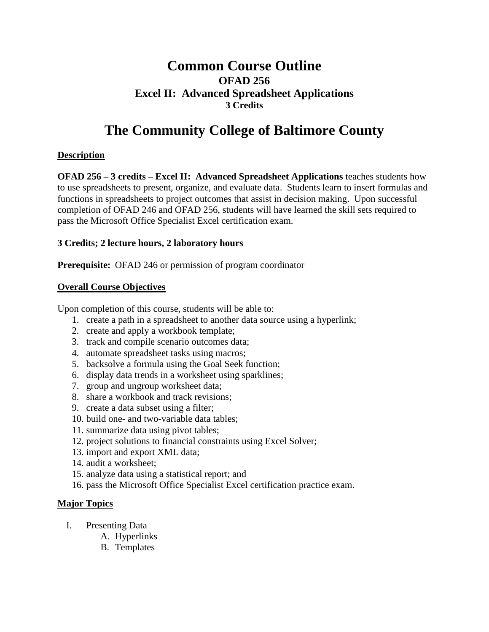# **Common Course Outline OFAD 256 Excel II: Advanced Spreadsheet Applications 3 Credits**

# **The Community College of Baltimore County**

## **Description**

**OFAD 256 – 3 credits – Excel II: Advanced Spreadsheet Applications** teaches students how to use spreadsheets to present, organize, and evaluate data. Students learn to insert formulas and functions in spreadsheets to project outcomes that assist in decision making. Upon successful completion of OFAD 246 and OFAD 256, students will have learned the skill sets required to pass the Microsoft Office Specialist Excel certification exam.

#### **3 Credits; 2 lecture hours, 2 laboratory hours**

**Prerequisite:** OFAD 246 or permission of program coordinator

#### **Overall Course Objectives**

Upon completion of this course, students will be able to:

- 1. create a path in a spreadsheet to another data source using a hyperlink;
- 2. create and apply a workbook template;
- 3. track and compile scenario outcomes data;
- 4. automate spreadsheet tasks using macros;
- 5. backsolve a formula using the Goal Seek function;
- 6. display data trends in a worksheet using sparklines;
- 7. group and ungroup worksheet data;
- 8. share a workbook and track revisions;
- 9. create a data subset using a filter;
- 10. build one- and two-variable data tables;
- 11. summarize data using pivot tables;
- 12. project solutions to financial constraints using Excel Solver;
- 13. import and export XML data;
- 14. audit a worksheet;
- 15. analyze data using a statistical report; and
- 16. pass the Microsoft Office Specialist Excel certification practice exam.

## **Major Topics**

- I. Presenting Data
	- A. Hyperlinks
	- B. Templates